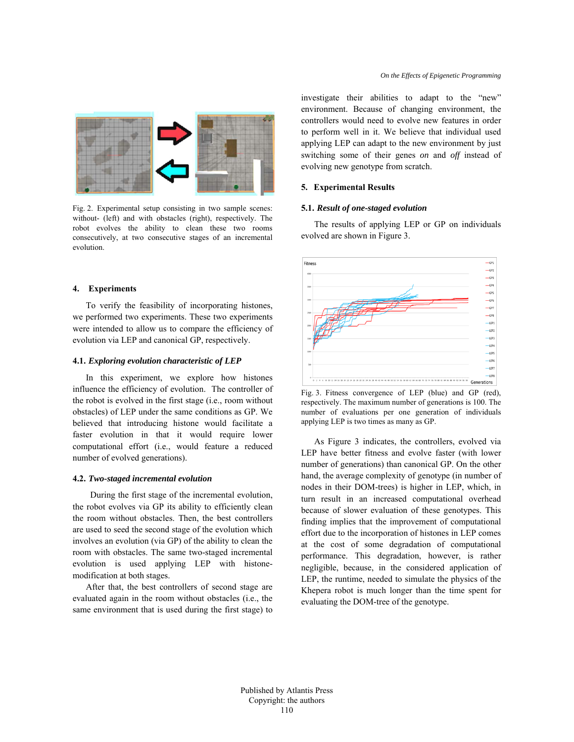

Fig. 2. Experimental setup consisting in two sample scenes: without- (left) and with obstacles (right), respectively. The robot evolves the ability to clean these two rooms consecutively, at two consecutive stages of an incremental evolution.

# **4. Experiments**

To verify the feasibility of incorporating histones, we performed two experiments. These two experiments were intended to allow us to compare the efficiency of evolution via LEP and canonical GP, respectively.

# **4.1.** *Exploring evolution characteristic of LEP*

In this experiment, we explore how histones influence the efficiency of evolution. The controller of the robot is evolved in the first stage (i.e., room without obstacles) of LEP under the same conditions as GP. We believed that introducing histone would facilitate a faster evolution in that it would require lower computational effort (i.e., would feature a reduced number of evolved generations).

### **4.2.** *Two-staged incremental evolution*

During the first stage of the incremental evolution, the robot evolves via GP its ability to efficiently clean the room without obstacles. Then, the best controllers are used to seed the second stage of the evolution which involves an evolution (via GP) of the ability to clean the room with obstacles. The same two-staged incremental evolution is used applying LEP with histonemodification at both stages.

After that, the best controllers of second stage are evaluated again in the room without obstacles (i.e., the same environment that is used during the first stage) to

investigate their abilities to adapt to the "new" environment. Because of changing environment, the controllers would need to evolve new features in order to perform well in it. We believe that individual used applying LEP can adapt to the new environment by just switching some of their genes *on* and *off* instead of evolving new genotype from scratch.

#### **5. Experimental Results**

#### **5.1.** *Result of one-staged evolution*

The results of applying LEP or GP on individuals evolved are shown in Figure 3.



Fig. 3. Fitness convergence of LEP (blue) and GP (red), respectively. The maximum number of generations is 100. The number of evaluations per one generation of individuals applying LEP is two times as many as GP.

As Figure 3 indicates, the controllers, evolved via LEP have better fitness and evolve faster (with lower number of generations) than canonical GP. On the other hand, the average complexity of genotype (in number of nodes in their DOM-trees) is higher in LEP, which, in turn result in an increased computational overhead because of slower evaluation of these genotypes. This finding implies that the improvement of computational effort due to the incorporation of histones in LEP comes at the cost of some degradation of computational performance. This degradation, however, is rather negligible, because, in the considered application of LEP, the runtime, needed to simulate the physics of the Khepera robot is much longer than the time spent for evaluating the DOM-tree of the genotype.